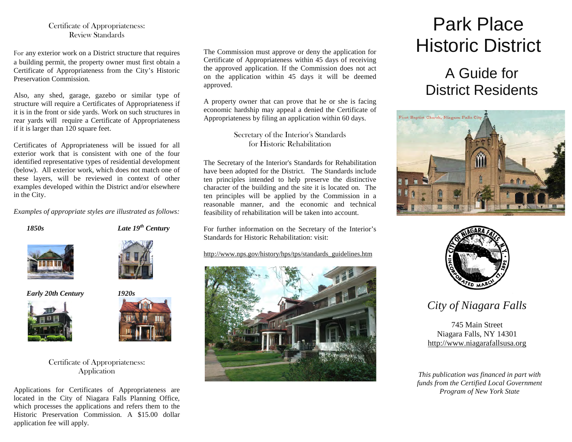#### Certificate of Appropriateness:Review Standards

For any exterior work on a District structure that requires a building permit, the property owner must first obtain a Certificate of Appropriateness from the City's Historic Preservation Commission.

Also, any shed, garage, gazebo or similar type of structure will require a Certificates of Appropriateness if it is in the front or side yards. Work on such structures in rear yards will require a Certificate of Appropriateness if it is larger than 120 square feet.

Certificates of Appropriateness will be issued for all exterior work that is consistent with one of the four identified representative types of residential development (below). All exterior work, which does not match one of these layers, will be reviewed in context of other examples developed within the District and/or elsewhere in the City.

*Examples of appropriate styles are illustrated as follows:*



*1850s Late 19th Century* 



*Early 20th Century 1920s* 





#### Certificate of Appropriateness: Application

Applications for Certificates of Appropriateness are located in the City of Niagara Falls Planning Office, which processes the applications and refers them to the Historic Preservation Commission. A \$15.00 dollar application fee will apply.

The Commission must approve or deny the application for Certificate of Appropriateness within 45 days of receiving the approved application. If the Commission does not act on the application within 45 days it will be deemed approved.

A property owner that can prove that he or she is facing economic hardship may appeal a denied the Certificate of Appropriateness by filing an application within 60 days.

> Secretary of the Interior's Standards for Historic Rehabilitation

The Secretary of the Interior's Standards for Rehabilitation have been adopted for the District. The Standards include ten principles intended to help preserve the distinctive character of the building and the site it is located on. The ten principles will be applied by the Commission in a reasonable manner, and the economic and technical feasibility of rehabilitation will be taken into account.

For further information on the Secretary of the Interior's Standards for Historic Rehabilitation: visit:

http://www.nps.gov/history/hps/tps/standards\_guidelines.htm



# Park Place Historic District

## A Guide for District Residents





*City of Niagara Falls* 

745 Main Street Niagara Falls, NY 14301 http://www.niagarafallsusa.org

*This publication was financed in part with funds from the Certified Local Government Program of New York State*